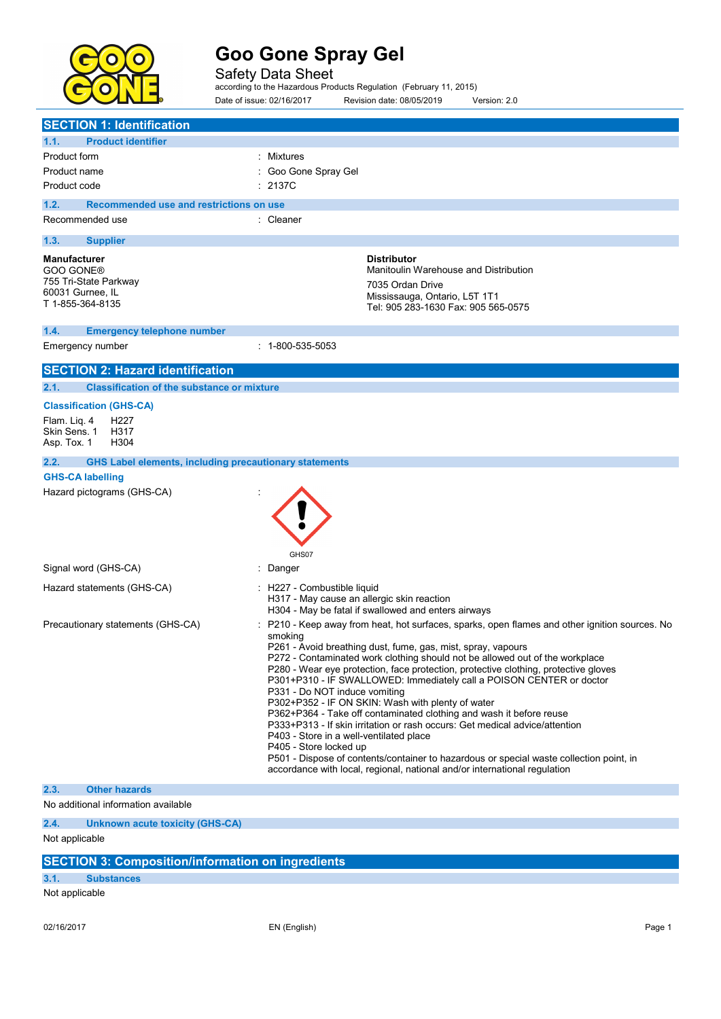

Safety Data Sheet according to the Hazardous Products Regulation (February 11, 2015) Date of issue: 02/16/2017 Revision date: 08/05/2019 Version: 2.0

| <b>SECTION 1: Identification</b>                                                                         |                                                                                                                                                                                                                                                                                                                                                                                                                                                                                                                                                                                                                                                                                                                                                                                                                                                                                                                 |
|----------------------------------------------------------------------------------------------------------|-----------------------------------------------------------------------------------------------------------------------------------------------------------------------------------------------------------------------------------------------------------------------------------------------------------------------------------------------------------------------------------------------------------------------------------------------------------------------------------------------------------------------------------------------------------------------------------------------------------------------------------------------------------------------------------------------------------------------------------------------------------------------------------------------------------------------------------------------------------------------------------------------------------------|
| 1.1.<br><b>Product identifier</b>                                                                        |                                                                                                                                                                                                                                                                                                                                                                                                                                                                                                                                                                                                                                                                                                                                                                                                                                                                                                                 |
| Product form                                                                                             | : Mixtures                                                                                                                                                                                                                                                                                                                                                                                                                                                                                                                                                                                                                                                                                                                                                                                                                                                                                                      |
| Product name                                                                                             | Goo Gone Spray Gel                                                                                                                                                                                                                                                                                                                                                                                                                                                                                                                                                                                                                                                                                                                                                                                                                                                                                              |
| Product code                                                                                             | : 2137C                                                                                                                                                                                                                                                                                                                                                                                                                                                                                                                                                                                                                                                                                                                                                                                                                                                                                                         |
| 1.2.<br>Recommended use and restrictions on use                                                          |                                                                                                                                                                                                                                                                                                                                                                                                                                                                                                                                                                                                                                                                                                                                                                                                                                                                                                                 |
| Recommended use                                                                                          | : Cleaner                                                                                                                                                                                                                                                                                                                                                                                                                                                                                                                                                                                                                                                                                                                                                                                                                                                                                                       |
| 1.3.<br><b>Supplier</b>                                                                                  |                                                                                                                                                                                                                                                                                                                                                                                                                                                                                                                                                                                                                                                                                                                                                                                                                                                                                                                 |
| <b>Manufacturer</b><br><b>GOO GONE®</b><br>755 Tri-State Parkway<br>60031 Gurnee, IL<br>T 1-855-364-8135 | <b>Distributor</b><br>Manitoulin Warehouse and Distribution<br>7035 Ordan Drive<br>Mississauga, Ontario, L5T 1T1<br>Tel: 905 283-1630 Fax: 905 565-0575                                                                                                                                                                                                                                                                                                                                                                                                                                                                                                                                                                                                                                                                                                                                                         |
| 1.4.<br><b>Emergency telephone number</b>                                                                |                                                                                                                                                                                                                                                                                                                                                                                                                                                                                                                                                                                                                                                                                                                                                                                                                                                                                                                 |
| Emergency number                                                                                         | $: 1 - 800 - 535 - 5053$                                                                                                                                                                                                                                                                                                                                                                                                                                                                                                                                                                                                                                                                                                                                                                                                                                                                                        |
| <b>SECTION 2: Hazard identification</b>                                                                  |                                                                                                                                                                                                                                                                                                                                                                                                                                                                                                                                                                                                                                                                                                                                                                                                                                                                                                                 |
| <b>Classification of the substance or mixture</b><br>2.1.                                                |                                                                                                                                                                                                                                                                                                                                                                                                                                                                                                                                                                                                                                                                                                                                                                                                                                                                                                                 |
| <b>Classification (GHS-CA)</b>                                                                           |                                                                                                                                                                                                                                                                                                                                                                                                                                                                                                                                                                                                                                                                                                                                                                                                                                                                                                                 |
| Flam. Lig. 4<br>H <sub>22</sub> 7<br>Skin Sens. 1<br>H317<br>Asp. Tox. 1<br>H304                         |                                                                                                                                                                                                                                                                                                                                                                                                                                                                                                                                                                                                                                                                                                                                                                                                                                                                                                                 |
| 2.2.<br><b>GHS Label elements, including precautionary statements</b>                                    |                                                                                                                                                                                                                                                                                                                                                                                                                                                                                                                                                                                                                                                                                                                                                                                                                                                                                                                 |
| <b>GHS-CA labelling</b>                                                                                  |                                                                                                                                                                                                                                                                                                                                                                                                                                                                                                                                                                                                                                                                                                                                                                                                                                                                                                                 |
| Hazard pictograms (GHS-CA)                                                                               | GHS07                                                                                                                                                                                                                                                                                                                                                                                                                                                                                                                                                                                                                                                                                                                                                                                                                                                                                                           |
| Signal word (GHS-CA)                                                                                     | : Danger                                                                                                                                                                                                                                                                                                                                                                                                                                                                                                                                                                                                                                                                                                                                                                                                                                                                                                        |
| Hazard statements (GHS-CA)                                                                               | : H227 - Combustible liquid<br>H317 - May cause an allergic skin reaction<br>H304 - May be fatal if swallowed and enters airways                                                                                                                                                                                                                                                                                                                                                                                                                                                                                                                                                                                                                                                                                                                                                                                |
| Precautionary statements (GHS-CA)                                                                        | P210 - Keep away from heat, hot surfaces, sparks, open flames and other ignition sources. No<br>smoking<br>P261 - Avoid breathing dust, fume, gas, mist, spray, vapours<br>P272 - Contaminated work clothing should not be allowed out of the workplace<br>P280 - Wear eye protection, face protection, protective clothing, protective gloves<br>P301+P310 - IF SWALLOWED: Immediately call a POISON CENTER or doctor<br>P331 - Do NOT induce vomiting<br>P302+P352 - IF ON SKIN: Wash with plenty of water<br>P362+P364 - Take off contaminated clothing and wash it before reuse<br>P333+P313 - If skin irritation or rash occurs: Get medical advice/attention<br>P403 - Store in a well-ventilated place<br>P405 - Store locked up<br>P501 - Dispose of contents/container to hazardous or special waste collection point, in<br>accordance with local, regional, national and/or international regulation |
| <b>Other hazards</b><br>2.3.                                                                             |                                                                                                                                                                                                                                                                                                                                                                                                                                                                                                                                                                                                                                                                                                                                                                                                                                                                                                                 |
| No additional information available                                                                      |                                                                                                                                                                                                                                                                                                                                                                                                                                                                                                                                                                                                                                                                                                                                                                                                                                                                                                                 |
| 2.4.<br>Unknown acute toxicity (GHS-CA)                                                                  |                                                                                                                                                                                                                                                                                                                                                                                                                                                                                                                                                                                                                                                                                                                                                                                                                                                                                                                 |
| Not applicable                                                                                           |                                                                                                                                                                                                                                                                                                                                                                                                                                                                                                                                                                                                                                                                                                                                                                                                                                                                                                                 |
| <b>SECTION 3: Composition/information on ingredients</b>                                                 |                                                                                                                                                                                                                                                                                                                                                                                                                                                                                                                                                                                                                                                                                                                                                                                                                                                                                                                 |
| 3.1.<br><b>Substances</b>                                                                                |                                                                                                                                                                                                                                                                                                                                                                                                                                                                                                                                                                                                                                                                                                                                                                                                                                                                                                                 |

Not applicable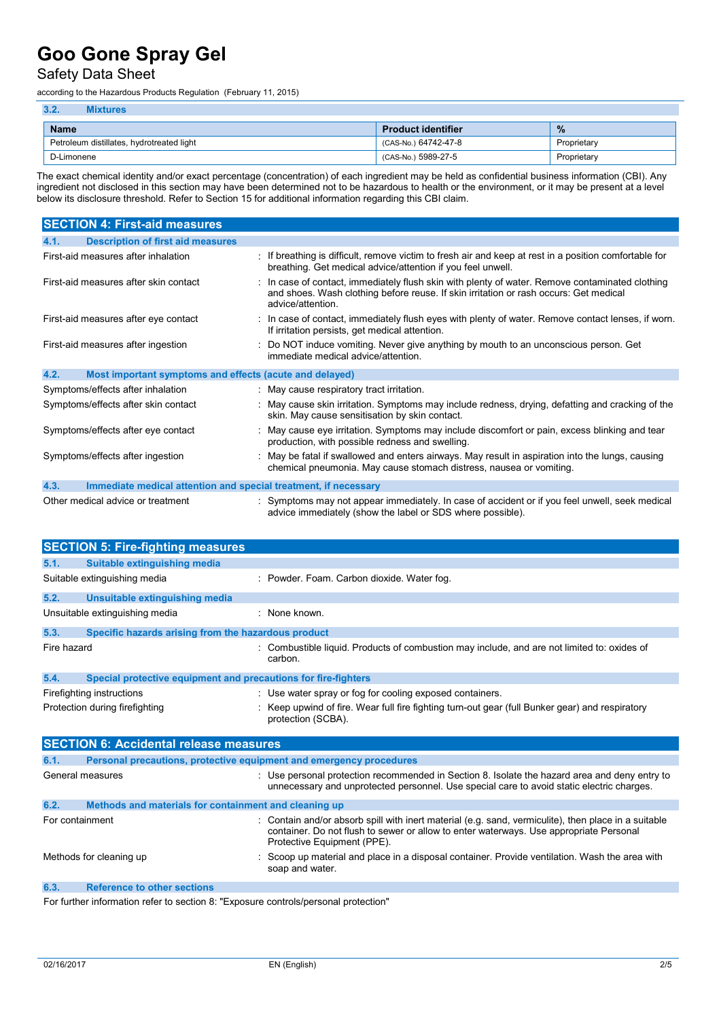### Safety Data Sheet

according to the Hazardous Products Regulation (February 11, 2015)

| 3.2.<br><b>Mixtures</b>                   |                           |               |
|-------------------------------------------|---------------------------|---------------|
| <b>Name</b>                               | <b>Product identifier</b> | $\frac{9}{6}$ |
| Petroleum distillates, hydrotreated light | (CAS-No.) 64742-47-8      | Proprietary   |
| D-Limonene                                | (CAS-No.) 5989-27-5       | Proprietary   |

The exact chemical identity and/or exact percentage (concentration) of each ingredient may be held as confidential business information (CBI). Any ingredient not disclosed in this section may have been determined not to be hazardous to health or the environment, or it may be present at a level below its disclosure threshold. Refer to Section 15 for additional information regarding this CBI claim.

| <b>SECTION 4: First-aid measures</b>                                    |                                                                                                                                                                                                               |
|-------------------------------------------------------------------------|---------------------------------------------------------------------------------------------------------------------------------------------------------------------------------------------------------------|
| <b>Description of first aid measures</b><br>4.1.                        |                                                                                                                                                                                                               |
| First-aid measures after inhalation                                     | : If breathing is difficult, remove victim to fresh air and keep at rest in a position comfortable for<br>breathing. Get medical advice/attention if you feel unwell.                                         |
| First-aid measures after skin contact                                   | : In case of contact, immediately flush skin with plenty of water. Remove contaminated clothing<br>and shoes. Wash clothing before reuse. If skin irritation or rash occurs: Get medical<br>advice/attention. |
| First-aid measures after eye contact                                    | : In case of contact, immediately flush eyes with plenty of water. Remove contact lenses, if worn.<br>If irritation persists, get medical attention.                                                          |
| First-aid measures after ingestion                                      | : Do NOT induce vomiting. Never give anything by mouth to an unconscious person. Get<br>immediate medical advice/attention                                                                                    |
| 4.2.<br>Most important symptoms and effects (acute and delayed)         |                                                                                                                                                                                                               |
| Symptoms/effects after inhalation                                       | : May cause respiratory tract irritation.                                                                                                                                                                     |
| Symptoms/effects after skin contact                                     | : May cause skin irritation. Symptoms may include redness, drying, defatting and cracking of the<br>skin. May cause sensitisation by skin contact.                                                            |
| Symptoms/effects after eye contact                                      | May cause eye irritation. Symptoms may include discomfort or pain, excess blinking and tear<br>production, with possible redness and swelling.                                                                |
| Symptoms/effects after ingestion                                        | May be fatal if swallowed and enters airways. May result in aspiration into the lungs, causing<br>chemical pneumonia. May cause stomach distress, nausea or vomiting.                                         |
| 4.3.<br>Immediate medical attention and special treatment, if necessary |                                                                                                                                                                                                               |
| Other medical advice or treatment                                       | : Symptoms may not appear immediately. In case of accident or if you feel unwell, seek medical<br>advice immediately (show the label or SDS where possible).                                                  |

| <b>SECTION 5: Fire-fighting measures</b>                    |                                                                                                                                                                                                                               |
|-------------------------------------------------------------|-------------------------------------------------------------------------------------------------------------------------------------------------------------------------------------------------------------------------------|
| Suitable extinguishing media<br>5.1.                        |                                                                                                                                                                                                                               |
| Suitable extinguishing media                                | : Powder. Foam. Carbon dioxide. Water fog.                                                                                                                                                                                    |
| 5.2.<br>Unsuitable extinguishing media                      |                                                                                                                                                                                                                               |
| Unsuitable extinguishing media                              | · None known                                                                                                                                                                                                                  |
| Specific hazards arising from the hazardous product<br>5.3. |                                                                                                                                                                                                                               |
| Fire hazard                                                 | : Combustible liquid. Products of combustion may include, and are not limited to: oxides of<br>carbon.                                                                                                                        |
| 5.4.                                                        | Special protective equipment and precautions for fire-fighters                                                                                                                                                                |
| Firefighting instructions                                   | : Use water spray or fog for cooling exposed containers.                                                                                                                                                                      |
| Protection during firefighting                              | Keep upwind of fire. Wear full fire fighting turn-out gear (full Bunker gear) and respiratory<br>protection (SCBA).                                                                                                           |
| <b>SECTION 6: Accidental release measures</b>               |                                                                                                                                                                                                                               |
| 6.1.                                                        | Personal precautions, protective equipment and emergency procedures                                                                                                                                                           |
| General measures                                            | : Use personal protection recommended in Section 8. Isolate the hazard area and deny entry to<br>unnecessary and unprotected personnel. Use special care to avoid static electric charges.                                    |
| 6.2.                                                        | Methods and materials for containment and cleaning up                                                                                                                                                                         |
| For containment                                             | : Contain and/or absorb spill with inert material (e.g. sand, vermiculite), then place in a suitable<br>container. Do not flush to sewer or allow to enter waterways. Use appropriate Personal<br>Protective Equipment (PPE). |
| Methods for cleaning up                                     | Scoop up material and place in a disposal container. Provide ventilation. Wash the area with<br>soap and water.                                                                                                               |
| <b>Reference to other sections</b><br>6.3.                  |                                                                                                                                                                                                                               |

For further information refer to section 8: "Exposure controls/personal protection"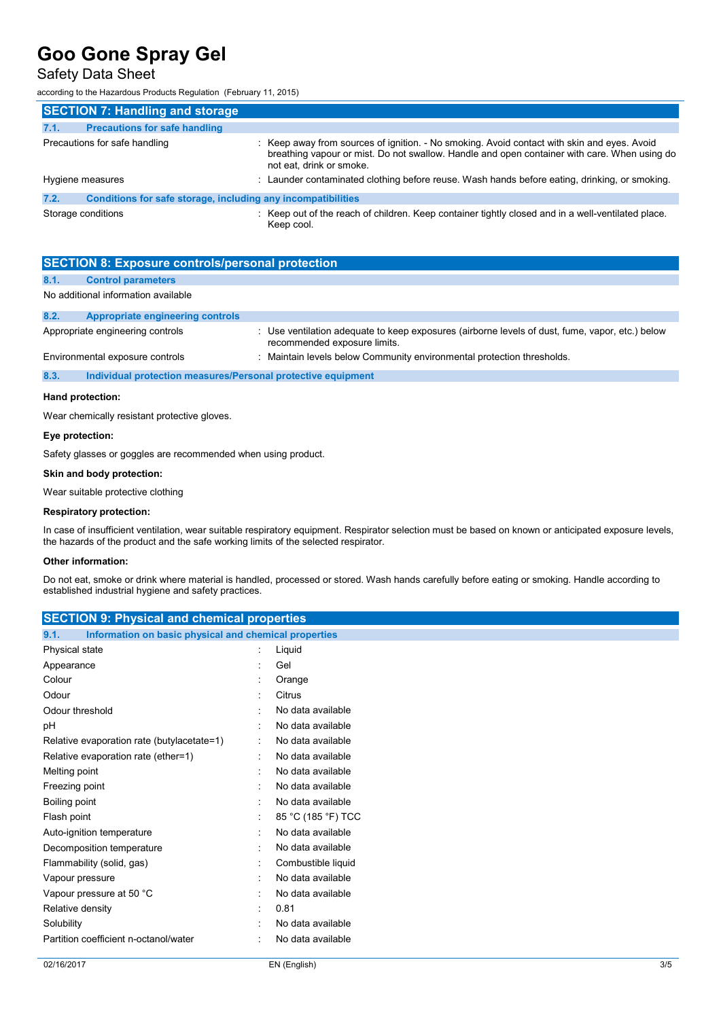### Safety Data Sheet

according to the Hazardous Products Regulation (February 11, 2015)

|      | <b>SECTION 7: Handling and storage</b>                       |                                                                                                                                                                                                                         |
|------|--------------------------------------------------------------|-------------------------------------------------------------------------------------------------------------------------------------------------------------------------------------------------------------------------|
| 7.1. | <b>Precautions for safe handling</b>                         |                                                                                                                                                                                                                         |
|      | Precautions for safe handling                                | : Keep away from sources of ignition. - No smoking. Avoid contact with skin and eyes. Avoid<br>breathing vapour or mist. Do not swallow. Handle and open container with care. When using do<br>not eat. drink or smoke. |
|      | Hygiene measures                                             | : Launder contaminated clothing before reuse. Wash hands before eating, drinking, or smoking.                                                                                                                           |
| 7.2. | Conditions for safe storage, including any incompatibilities |                                                                                                                                                                                                                         |
|      | Storage conditions                                           | : Keep out of the reach of children. Keep container tightly closed and in a well-ventilated place.<br>Keep cool.                                                                                                        |

|                  | <b>SECTION 8: Exposure controls/personal protection</b>      |                                                                                                                                 |  |
|------------------|--------------------------------------------------------------|---------------------------------------------------------------------------------------------------------------------------------|--|
| 8.1.             | <b>Control parameters</b>                                    |                                                                                                                                 |  |
|                  | No additional information available                          |                                                                                                                                 |  |
| 8.2.             | <b>Appropriate engineering controls</b>                      |                                                                                                                                 |  |
|                  | Appropriate engineering controls                             | : Use ventilation adequate to keep exposures (airborne levels of dust, fume, vapor, etc.) below<br>recommended exposure limits. |  |
|                  | Environmental exposure controls                              | : Maintain levels below Community environmental protection thresholds.                                                          |  |
| 8.3.             | Individual protection measures/Personal protective equipment |                                                                                                                                 |  |
| Hand protection: |                                                              |                                                                                                                                 |  |

Wear chemically resistant protective gloves.

#### **Eye protection:**

Safety glasses or goggles are recommended when using product.

#### **Skin and body protection:**

Wear suitable protective clothing

#### **Respiratory protection:**

In case of insufficient ventilation, wear suitable respiratory equipment. Respirator selection must be based on known or anticipated exposure levels, the hazards of the product and the safe working limits of the selected respirator.

#### **Other information:**

Do not eat, smoke or drink where material is handled, processed or stored. Wash hands carefully before eating or smoking. Handle according to established industrial hygiene and safety practices.

| <b>SECTION 9: Physical and chemical properties</b>            |  |                    |
|---------------------------------------------------------------|--|--------------------|
| Information on basic physical and chemical properties<br>9.1. |  |                    |
| Physical state                                                |  | Liquid             |
| Appearance                                                    |  | Gel                |
| Colour                                                        |  | Orange             |
| Odour                                                         |  | Citrus             |
| Odour threshold                                               |  | No data available  |
| рH                                                            |  | No data available  |
| Relative evaporation rate (butylacetate=1)                    |  | No data available  |
| Relative evaporation rate (ether=1)                           |  | No data available  |
| Melting point                                                 |  | No data available  |
| Freezing point                                                |  | No data available  |
| Boiling point                                                 |  | No data available  |
| Flash point                                                   |  | 85 °C (185 °F) TCC |
| Auto-ignition temperature                                     |  | No data available  |
| Decomposition temperature                                     |  | No data available  |
| Flammability (solid, gas)                                     |  | Combustible liquid |
| Vapour pressure                                               |  | No data available  |
| Vapour pressure at 50 °C                                      |  | No data available  |
| Relative density                                              |  | 0.81               |
| Solubility                                                    |  | No data available  |
| Partition coefficient n-octanol/water                         |  | No data available  |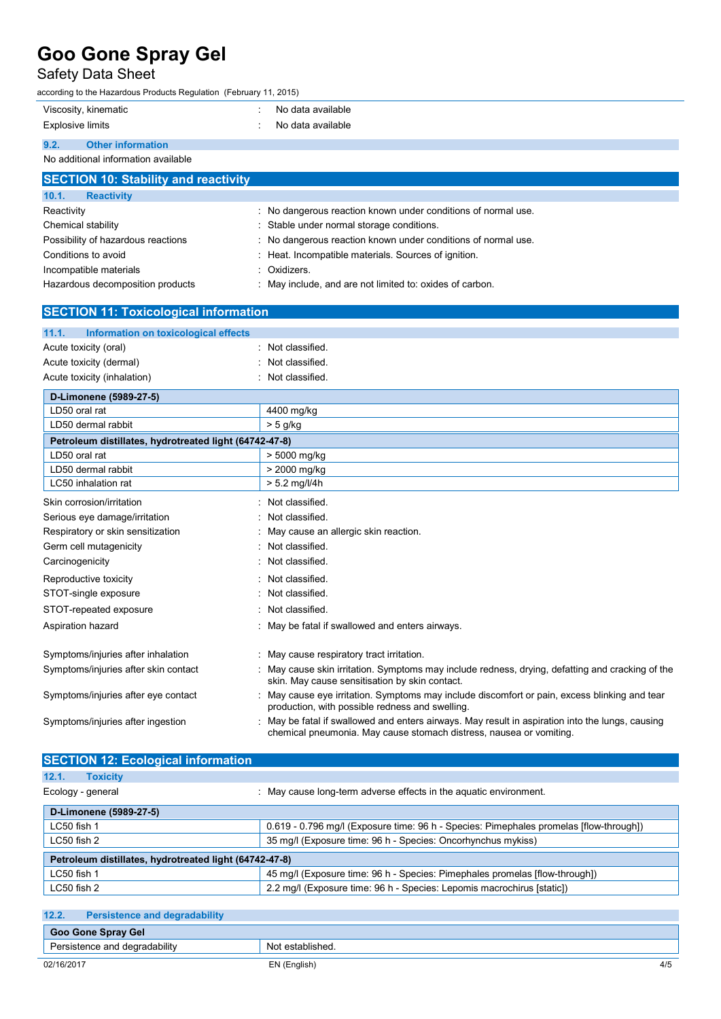### Safety Data Sheet

according to the Hazardous Products Regulation (February 11, 2015)

|                                     | Viscosity, kinematic     |  | No data available |
|-------------------------------------|--------------------------|--|-------------------|
| Explosive limits                    |                          |  | No data available |
| 9.2.                                | <b>Other information</b> |  |                   |
| No additional information available |                          |  |                   |
|                                     |                          |  |                   |

| <b>SECTION 10: Stability and reactivity</b> |                                                               |
|---------------------------------------------|---------------------------------------------------------------|
| 10.1.<br><b>Reactivity</b>                  |                                                               |
| Reactivity                                  | : No dangerous reaction known under conditions of normal use. |
| Chemical stability                          | : Stable under normal storage conditions.                     |
| Possibility of hazardous reactions          | : No dangerous reaction known under conditions of normal use. |
| Conditions to avoid                         | : Heat. Incompatible materials. Sources of ignition.          |
| Incompatible materials                      | : Oxidizers.                                                  |
| Hazardous decomposition products            | : May include, and are not limited to: oxides of carbon.      |

| <b>SECTION 11: Toxicological information</b>           |                                                                                                                                                                       |  |
|--------------------------------------------------------|-----------------------------------------------------------------------------------------------------------------------------------------------------------------------|--|
| 11.1.<br>Information on toxicological effects          |                                                                                                                                                                       |  |
| Acute toxicity (oral)                                  | Not classified.                                                                                                                                                       |  |
| Acute toxicity (dermal)                                | Not classified.                                                                                                                                                       |  |
| Acute toxicity (inhalation)                            | Not classified.                                                                                                                                                       |  |
| D-Limonene (5989-27-5)                                 |                                                                                                                                                                       |  |
| LD50 oral rat                                          | 4400 mg/kg                                                                                                                                                            |  |
| LD50 dermal rabbit                                     | $> 5$ g/kg                                                                                                                                                            |  |
| Petroleum distillates, hydrotreated light (64742-47-8) |                                                                                                                                                                       |  |
| LD50 oral rat                                          | > 5000 mg/kg                                                                                                                                                          |  |
| LD50 dermal rabbit                                     | > 2000 mg/kg                                                                                                                                                          |  |
| LC50 inhalation rat                                    | $> 5.2$ mg/l/4h                                                                                                                                                       |  |
| Skin corrosion/irritation                              | Not classified.                                                                                                                                                       |  |
| Serious eye damage/irritation                          | Not classified.                                                                                                                                                       |  |
| Respiratory or skin sensitization                      | May cause an allergic skin reaction.                                                                                                                                  |  |
| Germ cell mutagenicity                                 | Not classified.                                                                                                                                                       |  |
| Carcinogenicity                                        | Not classified.                                                                                                                                                       |  |
| Reproductive toxicity                                  | Not classified.                                                                                                                                                       |  |
| STOT-single exposure                                   | Not classified.                                                                                                                                                       |  |
| STOT-repeated exposure                                 | Not classified.                                                                                                                                                       |  |
| Aspiration hazard                                      | May be fatal if swallowed and enters airways.                                                                                                                         |  |
| Symptoms/injuries after inhalation                     | May cause respiratory tract irritation.                                                                                                                               |  |
| Symptoms/injuries after skin contact                   | May cause skin irritation. Symptoms may include redness, drying, defatting and cracking of the<br>skin. May cause sensitisation by skin contact.                      |  |
| Symptoms/injuries after eye contact                    | May cause eye irritation. Symptoms may include discomfort or pain, excess blinking and tear<br>production, with possible redness and swelling.                        |  |
| Symptoms/injuries after ingestion                      | May be fatal if swallowed and enters airways. May result in aspiration into the lungs, causing<br>chemical pneumonia. May cause stomach distress, nausea or vomiting. |  |

### **SECTION 12: Ecological information 12.1. Toxicity** Ecology - general **interpretent in the set of the set of the aguatic environment.** Suppose the aguatic environment. **D-Limonene (5989-27-5)** LC50 fish 1 **1** 0.619 - 0.796 mg/l (Exposure time: 96 h - Species: Pimephales promelas [flow-through]) LC50 fish 2 35 mg/l (Exposure time: 96 h - Species: Oncorhynchus mykiss) **Petroleum distillates, hydrotreated light (64742-47-8)** LC50 fish 1 **45 mg/l (Exposure time: 96 h - Species: Pimephales promelas [flow-through]**) LC50 fish 2 2.2 mg/l (Exposure time: 96 h - Species: Lepomis macrochirus [static])

| 12.2.      | <b>Persistence and degradability</b> |                  |     |
|------------|--------------------------------------|------------------|-----|
|            | Goo Gone Spray Gel                   |                  |     |
|            | Persistence and degradability        | Not established. |     |
| 02/16/2017 |                                      | EN (English)     | 4/5 |